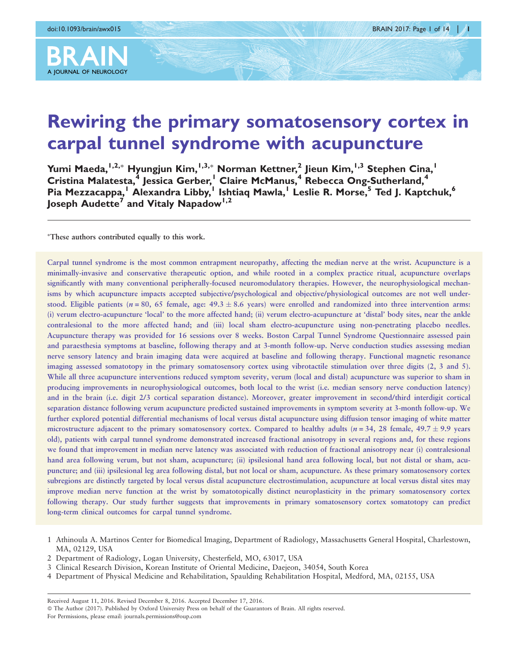

# A JOURNAL OF NEUROLOGY

# Rewiring the primary somatosensory cortex in carpal tunnel syndrome with acupuncture

Yumi Maeda, <sup>I,2,</sup>\* Hyungjun Kim, <sup>I,3,</sup>\* Norman Kettner,<sup>2</sup> Jieun Kim, <sup>I,3</sup> Stephen Cina, <sup>I</sup> Cristina Malatesta,<sup>4</sup> Jessica Gerber,<sup>1</sup> Claire McManus,<sup>4</sup> Rebecca Ong-Sutherland,<sup>4</sup> Pia Mezzacappa,<sup>1</sup> Alexandra Libby,<sup>1</sup> Ishtiaq Mawla,<sup>1</sup> Leslie R. Morse,<sup>5</sup> Ted J. Kaptchuk,<sup>6</sup> Joseph Audette<sup>7</sup> and Vitaly Napadow<sup>1,2</sup>

- These authors contributed equally to this work.

Carpal tunnel syndrome is the most common entrapment neuropathy, affecting the median nerve at the wrist. Acupuncture is a minimally-invasive and conservative therapeutic option, and while rooted in a complex practice ritual, acupuncture overlaps significantly with many conventional peripherally-focused neuromodulatory therapies. However, the neurophysiological mechanisms by which acupuncture impacts accepted subjective/psychological and objective/physiological outcomes are not well understood. Eligible patients ( $n = 80$ , 65 female, age:  $49.3 \pm 8.6$  years) were enrolled and randomized into three intervention arms: (i) verum electro-acupuncture 'local' to the more affected hand; (ii) verum electro-acupuncture at 'distal' body sites, near the ankle contralesional to the more affected hand; and (iii) local sham electro-acupuncture using non-penetrating placebo needles. Acupuncture therapy was provided for 16 sessions over 8 weeks. Boston Carpal Tunnel Syndrome Questionnaire assessed pain and paraesthesia symptoms at baseline, following therapy and at 3-month follow-up. Nerve conduction studies assessing median nerve sensory latency and brain imaging data were acquired at baseline and following therapy. Functional magnetic resonance imaging assessed somatotopy in the primary somatosensory cortex using vibrotactile stimulation over three digits (2, 3 and 5). While all three acupuncture interventions reduced symptom severity, verum (local and distal) acupuncture was superior to sham in producing improvements in neurophysiological outcomes, both local to the wrist (i.e. median sensory nerve conduction latency) and in the brain (i.e. digit 2/3 cortical separation distance). Moreover, greater improvement in second/third interdigit cortical separation distance following verum acupuncture predicted sustained improvements in symptom severity at 3-month follow-up. We further explored potential differential mechanisms of local versus distal acupuncture using diffusion tensor imaging of white matter microstructure adjacent to the primary somatosensory cortex. Compared to healthy adults ( $n = 34$ , 28 female, 49.7  $\pm$  9.9 years old), patients with carpal tunnel syndrome demonstrated increased fractional anisotropy in several regions and, for these regions we found that improvement in median nerve latency was associated with reduction of fractional anisotropy near (i) contralesional hand area following verum, but not sham, acupuncture; (ii) ipsilesional hand area following local, but not distal or sham, acupuncture; and (iii) ipsilesional leg area following distal, but not local or sham, acupuncture. As these primary somatosensory cortex subregions are distinctly targeted by local versus distal acupuncture electrostimulation, acupuncture at local versus distal sites may improve median nerve function at the wrist by somatotopically distinct neuroplasticity in the primary somatosensory cortex following therapy. Our study further suggests that improvements in primary somatosensory cortex somatotopy can predict long-term clinical outcomes for carpal tunnel syndrome.

3 Clinical Research Division, Korean Institute of Oriental Medicine, Daejeon, 34054, South Korea

<sup>1</sup> Athinoula A. Martinos Center for Biomedical Imaging, Department of Radiology, Massachusetts General Hospital, Charlestown, MA, 02129, USA

<sup>2</sup> Department of Radiology, Logan University, Chesterfield, MO, 63017, USA

<sup>4</sup> Department of Physical Medicine and Rehabilitation, Spaulding Rehabilitation Hospital, Medford, MA, 02155, USA

Received August 11, 2016. Revised December 8, 2016. Accepted December 17, 2016.

<sup>-</sup> The Author (2017). Published by Oxford University Press on behalf of the Guarantors of Brain. All rights reserved. For Permissions, please email: journals.permissions@oup.com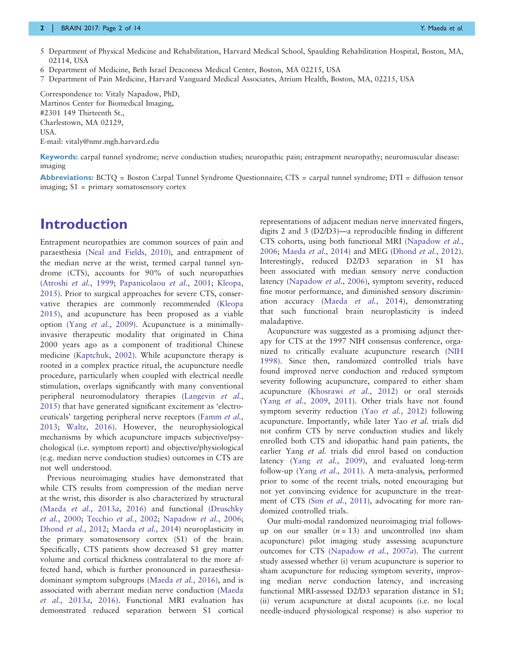#### 2 | BRAIN 2017: Page 2 of 14 Year 2008 | West 2008 | West 2009 | West 2009 | West 2009 | West 2009 | West 2009

- 5 Department of Physical Medicine and Rehabilitation, Harvard Medical School, Spaulding Rehabilitation Hospital, Boston, MA, 02114, USA
- 6 Department of Medicine, Beth Israel Deaconess Medical Center, Boston, MA 02215, USA
- 7 Department of Pain Medicine, Harvard Vanguard Medical Associates, Atrium Health, Boston, MA, 02215, USA

Correspondence to: Vitaly Napadow, PhD, Martinos Center for Biomedical Imaging, #2301 149 Thirteenth St., Charlestown, MA 02129, USA. E-mail: vitaly@nmr.mgh.harvard.edu

Keywords: carpal tunnel syndrome; nerve conduction studies; neuropathic pain; entrapment neuropathy; neuromuscular disease: imaging

Abbreviations: BCTQ = Boston Carpal Tunnel Syndrome Questionnaire; CTS = carpal tunnel syndrome; DTI = diffusion tensor imaging; S1 = primary somatosensory cortex

# Introduction

Entrapment neuropathies are common sources of pain and paraesthesia ([Neal and Fields, 2010\)](#page-13-0), and entrapment of the median nerve at the wrist, termed carpal tunnel syndrome (CTS), accounts for 90% of such neuropathies [\(Atroshi](#page-12-0) et al., 1999; [Papanicolaou](#page-13-0) et al., 2001; [Kleopa,](#page-12-0) [2015](#page-12-0)). Prior to surgical approaches for severe CTS, conservative therapies are commonly recommended [\(Kleopa](#page-12-0) [2015](#page-12-0)), and acupuncture has been proposed as a viable option (Yang et al.[, 2009\)](#page-13-0). Acupuncture is a minimallyinvasive therapeutic modality that originated in China 2000 years ago as a component of traditional Chinese medicine [\(Kaptchuk, 2002\)](#page-12-0). While acupuncture therapy is rooted in a complex practice ritual, the acupuncture needle procedure, particularly when coupled with electrical needle stimulation, overlaps significantly with many conventional peripheral neuromodulatory therapies [\(Langevin](#page-12-0) et al., [2015](#page-12-0)) that have generated significant excitement as 'electroceuticals' targeting peripheral nerve receptors [\(Famm](#page-12-0) et al., [2013](#page-12-0); [Waltz, 2016\)](#page-13-0). However, the neurophysiological mechanisms by which acupuncture impacts subjective/psychological (i.e. symptom report) and objective/physiological (e.g. median nerve conduction studies) outcomes in CTS are not well understood.

Previous neuroimaging studies have demonstrated that while CTS results from compression of the median nerve at the wrist, this disorder is also characterized by structural (Maeda et al.[, 2013](#page-13-0)a, [2016\)](#page-12-0) and functional [\(Druschky](#page-12-0) et al.[, 2000](#page-12-0); [Tecchio](#page-13-0) et al., 2002; [Napadow](#page-13-0) et al., 2006; [Dhond](#page-12-0) et al., 2012; [Maeda](#page-12-0) et al., 2014) neuroplasticity in the primary somatosensory cortex (S1) of the brain. Specifically, CTS patients show decreased S1 grey matter volume and cortical thickness contralateral to the more affected hand, which is further pronounced in paraesthesiadominant symptom subgroups ([Maeda](#page-12-0) et al., 2016), and is associated with aberrant median nerve conduction ([Maeda](#page-13-0) et al.[, 2013](#page-13-0)a, [2016\)](#page-12-0). Functional MRI evaluation has demonstrated reduced separation between S1 cortical

representations of adjacent median nerve innervated fingers, digits 2 and 3 (D2/D3)—a reproducible finding in different CTS cohorts, using both functional MRI ([Napadow](#page-13-0) et al., [2006;](#page-13-0) [Maeda](#page-12-0) et al., 2014) and MEG ([Dhond](#page-12-0) et al., 2012). Interestingly, reduced D2/D3 separation in S1 has been associated with median sensory nerve conduction latency [\(Napadow](#page-13-0) et al., 2006), symptom severity, reduced fine motor performance, and diminished sensory discrimination accuracy (Maeda et al.[, 2014](#page-12-0)), demonstrating that such functional brain neuroplasticity is indeed maladaptive.

Acupuncture was suggested as a promising adjunct therapy for CTS at the 1997 NIH consensus conference, organized to critically evaluate acupuncture research [\(NIH](#page-13-0) [1998\)](#page-13-0). Since then, randomized controlled trials have found improved nerve conduction and reduced symptom severity following acupuncture, compared to either sham acupuncture ([Khosrawi](#page-12-0) et al., 2012) or oral steroids (Yang et al.[, 2009,](#page-13-0) [2011\)](#page-13-0). Other trials have not found symptom severity reduction (Yao et al.[, 2012](#page-13-0)) following acupuncture. Importantly, while later Yao et al. trials did not confirm CTS by nerve conduction studies and likely enrolled both CTS and idiopathic hand pain patients, the earlier Yang et al. trials did enrol based on conduction latency (Yang et al.[, 2009](#page-13-0)), and evaluated long-term follow-up (Yang et al.[, 2011](#page-13-0)). A meta-analysis, performed prior to some of the recent trials, noted encouraging but not yet convincing evidence for acupuncture in the treat-ment of CTS (Sim et al.[, 2011\)](#page-13-0), advocating for more randomized controlled trials.

Our multi-modal randomized neuroimaging trial followsup on our smaller  $(n = 13)$  and uncontrolled (no sham acupuncture) pilot imaging study assessing acupuncture outcomes for CTS [\(Napadow](#page-13-0) et al., 2007a). The current study assessed whether (i) verum acupuncture is superior to sham acupuncture for reducing symptom severity, improving median nerve conduction latency, and increasing functional MRI-assessed D2/D3 separation distance in S1; (ii) verum acupuncture at distal acupoints (i.e. no local needle-induced physiological response) is also superior to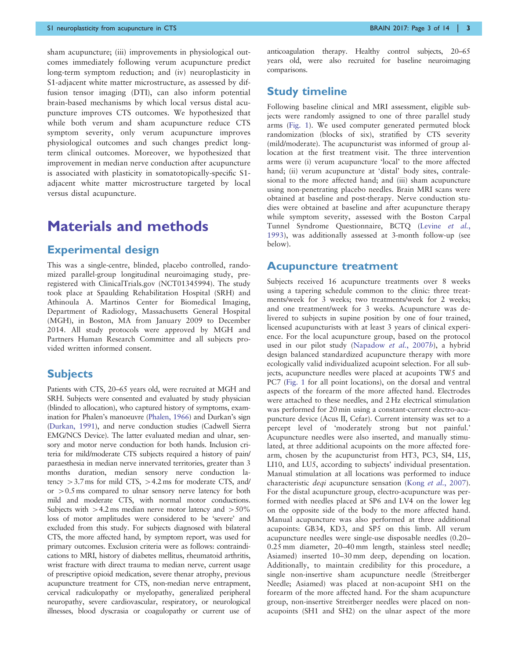sham acupuncture; (iii) improvements in physiological outcomes immediately following verum acupuncture predict long-term symptom reduction; and (iv) neuroplasticity in S1-adjacent white matter microstructure, as assessed by diffusion tensor imaging (DTI), can also inform potential brain-based mechanisms by which local versus distal acupuncture improves CTS outcomes. We hypothesized that while both verum and sham acupuncture reduce CTS symptom severity, only verum acupuncture improves physiological outcomes and such changes predict longterm clinical outcomes. Moreover, we hypothesized that improvement in median nerve conduction after acupuncture is associated with plasticity in somatotopically-specific S1 adjacent white matter microstructure targeted by local versus distal acupuncture.

# Materials and methods

#### Experimental design

This was a single-centre, blinded, placebo controlled, randomized parallel-group longitudinal neuroimaging study, preregistered with ClinicalTrials.gov (NCT01345994). The study took place at Spaulding Rehabilitation Hospital (SRH) and Athinoula A. Martinos Center for Biomedical Imaging, Department of Radiology, Massachusetts General Hospital (MGH), in Boston, MA from January 2009 to December 2014. All study protocols were approved by MGH and Partners Human Research Committee and all subjects provided written informed consent.

#### **Subjects**

Patients with CTS, 20–65 years old, were recruited at MGH and SRH. Subjects were consented and evaluated by study physician (blinded to allocation), who captured history of symptoms, examination for Phalen's manoeuvre [\(Phalen, 1966\)](#page-13-0) and Durkan's sign [\(Durkan, 1991\)](#page-12-0), and nerve conduction studies (Cadwell Sierra EMG/NCS Device). The latter evaluated median and ulnar, sensory and motor nerve conduction for both hands. Inclusion criteria for mild/moderate CTS subjects required a history of pain/ paraesthesia in median nerve innervated territories, greater than 3 months duration, median sensory nerve conduction latency  $> 3.7$  ms for mild CTS,  $> 4.2$  ms for moderate CTS, and/ or  $> 0.5$  ms compared to ulnar sensory nerve latency for both mild and moderate CTS, with normal motor conductions. Subjects with  $>4.2$  ms median nerve motor latency and  $>50\%$ loss of motor amplitudes were considered to be 'severe' and excluded from this study. For subjects diagnosed with bilateral CTS, the more affected hand, by symptom report, was used for primary outcomes. Exclusion criteria were as follows: contraindications to MRI, history of diabetes mellitus, rheumatoid arthritis, wrist fracture with direct trauma to median nerve, current usage of prescriptive opioid medication, severe thenar atrophy, previous acupuncture treatment for CTS, non-median nerve entrapment, cervical radiculopathy or myelopathy, generalized peripheral neuropathy, severe cardiovascular, respiratory, or neurological illnesses, blood dyscrasia or coagulopathy or current use of anticoagulation therapy. Healthy control subjects, 20–65 years old, were also recruited for baseline neuroimaging comparisons.

#### Study timeline

Following baseline clinical and MRI assessment, eligible subjects were randomly assigned to one of three parallel study arms ([Fig. 1\)](#page-3-0). We used computer generated permuted block randomization (blocks of six), stratified by CTS severity (mild/moderate). The acupuncturist was informed of group allocation at the first treatment visit. The three intervention arms were (i) verum acupuncture 'local' to the more affected hand; (ii) verum acupuncture at 'distal' body sites, contralesional to the more affected hand; and (iii) sham acupuncture using non-penetrating placebo needles. Brain MRI scans were obtained at baseline and post-therapy. Nerve conduction studies were obtained at baseline and after acupuncture therapy while symptom severity, assessed with the Boston Carpal Tunnel Syndrome Questionnaire, BCTQ [\(Levine](#page-12-0) et al., [1993](#page-12-0)), was additionally assessed at 3-month follow-up (see below).

#### Acupuncture treatment

Subjects received 16 acupuncture treatments over 8 weeks using a tapering schedule common to the clinic: three treatments/week for 3 weeks; two treatments/week for 2 weeks; and one treatment/week for 3 weeks. Acupuncture was delivered to subjects in supine position by one of four trained, licensed acupuncturists with at least 3 years of clinical experience. For the local acupuncture group, based on the protocol used in our pilot study ([Napadow](#page-13-0) et al., 2007b), a hybrid design balanced standardized acupuncture therapy with more ecologically valid individualized acupoint selection. For all subjects, acupuncture needles were placed at acupoints TW5 and PC7 [\(Fig. 1](#page-3-0) for all point locations), on the dorsal and ventral aspects of the forearm of the more affected hand. Electrodes were attached to these needles, and 2 Hz electrical stimulation was performed for 20 min using a constant-current electro-acupuncture device (Acus II, Cefar). Current intensity was set to a percept level of 'moderately strong but not painful.' Acupuncture needles were also inserted, and manually stimulated, at three additional acupoints on the more affected forearm, chosen by the acupuncturist from HT3, PC3, SI4, LI5, LI10, and LU5, according to subjects' individual presentation. Manual stimulation at all locations was performed to induce characteristic *deqi* acupuncture sensation (Kong et al.[, 2007](#page-12-0)). For the distal acupuncture group, electro-acupuncture was performed with needles placed at SP6 and LV4 on the lower leg on the opposite side of the body to the more affected hand. Manual acupuncture was also performed at three additional acupoints: GB34, KD3, and SP5 on this limb. All verum acupuncture needles were single-use disposable needles (0.20– 0.25 mm diameter, 20–40 mm length, stainless steel needle; Asiamed) inserted 10–30 mm deep, depending on location. Additionally, to maintain credibility for this procedure, a single non-insertive sham acupuncture needle (Streitberger Needle; Asiamed) was placed at non-acupoint SH1 on the forearm of the more affected hand. For the sham acupuncture group, non-insertive Streitberger needles were placed on nonacupoints (SH1 and SH2) on the ulnar aspect of the more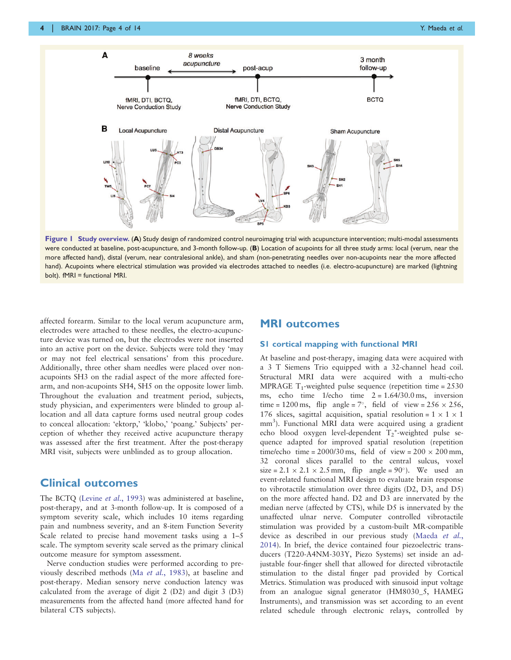<span id="page-3-0"></span>

Figure 1 Study overview. (A) Study design of randomized control neuroimaging trial with acupuncture intervention; multi-modal assessments were conducted at baseline, post-acupuncture, and 3-month follow-up. (B) Location of acupoints for all three study arms: local (verum, near the more affected hand), distal (verum, near contralesional ankle), and sham (non-penetrating needles over non-acupoints near the more affected hand). Acupoints where electrical stimulation was provided via electrodes attached to needles (i.e. electro-acupuncture) are marked (lightning bolt). fMRI = functional MRI.

affected forearm. Similar to the local verum acupuncture arm, electrodes were attached to these needles, the electro-acupuncture device was turned on, but the electrodes were not inserted into an active port on the device. Subjects were told they 'may or may not feel electrical sensations' from this procedure. Additionally, three other sham needles were placed over nonacupoints SH3 on the radial aspect of the more affected forearm, and non-acupoints SH4, SH5 on the opposite lower limb. Throughout the evaluation and treatment period, subjects, study physician, and experimenters were blinded to group allocation and all data capture forms used neutral group codes to conceal allocation: 'ektorp,' 'klobo,' 'poang.' Subjects' perception of whether they received active acupuncture therapy was assessed after the first treatment. After the post-therapy MRI visit, subjects were unblinded as to group allocation.

#### Clinical outcomes

The BCTQ (Levine et al.[, 1993](#page-12-0)) was administered at baseline, post-therapy, and at 3-month follow-up. It is composed of a symptom severity scale, which includes 10 items regarding pain and numbness severity, and an 8-item Function Severity Scale related to precise hand movement tasks using a 1–5 scale. The symptom severity scale served as the primary clinical outcome measure for symptom assessment.

Nerve conduction studies were performed according to previously described methods (Ma et al.[, 1983\)](#page-12-0), at baseline and post-therapy. Median sensory nerve conduction latency was calculated from the average of digit 2 (D2) and digit 3 (D3) measurements from the affected hand (more affected hand for bilateral CTS subjects).

#### MRI outcomes

#### S1 cortical mapping with functional MRI

At baseline and post-therapy, imaging data were acquired with a 3 T Siemens Trio equipped with a 32-channel head coil. Structural MRI data were acquired with a multi-echo MPRAGE  $T_1$ -weighted pulse sequence (repetition time = 2530) ms, echo time  $1/echo$  time  $2 = 1.64/30.0$  ms, inversion time = 1200 ms, flip angle =  $7^\circ$ , field of view = 256  $\times$  256, 176 slices, sagittal acquisition, spatial resolution =  $1 \times 1 \times 1$ mm<sup>3</sup>). Functional MRI data were acquired using a gradient echo blood oxygen level-dependent T<sub>2</sub>\*-weighted pulse sequence adapted for improved spatial resolution (repetition time/echo time =  $2000/30$  ms, field of view =  $200 \times 200$  mm, 32 coronal slices parallel to the central sulcus, voxel size =  $2.1 \times 2.1 \times 2.5$  mm, flip angle =  $90^{\circ}$ ). We used an event-related functional MRI design to evaluate brain response to vibrotactile stimulation over three digits (D2, D3, and D5) on the more affected hand. D2 and D3 are innervated by the median nerve (affected by CTS), while D5 is innervated by the unaffected ulnar nerve. Computer controlled vibrotactile stimulation was provided by a custom-built MR-compatible device as described in our previous study ([Maeda](#page-12-0) et al., [2014\)](#page-12-0). In brief, the device contained four piezoelectric transducers (T220-A4NM-303Y, Piezo Systems) set inside an adjustable four-finger shell that allowed for directed vibrotactile stimulation to the distal finger pad provided by Cortical Metrics. Stimulation was produced with sinusoid input voltage from an analogue signal generator (HM8030\_5, HAMEG Instruments), and transmission was set according to an event related schedule through electronic relays, controlled by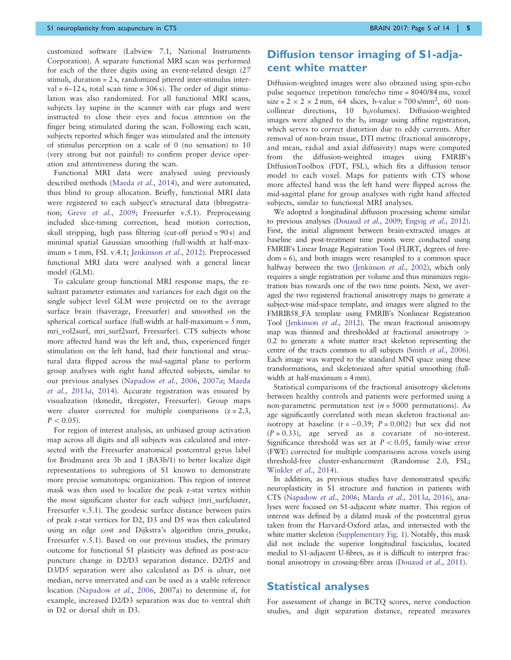customized software (Labview 7.1, National Instruments Corporation). A separate functional MRI scan was performed for each of the three digits using an event-related design (27 stimuli, duration = 2 s, randomized jittered inter-stimulus inter $val = 6-12$  s, total scan time = 306 s). The order of digit stimulation was also randomized. For all functional MRI scans, subjects lay supine in the scanner with ear plugs and were instructed to close their eyes and focus attention on the finger being stimulated during the scan. Following each scan, subjects reported which finger was stimulated and the intensity of stimulus perception on a scale of 0 (no sensation) to 10 (very strong but not painful) to confirm proper device operation and attentiveness during the scan.

Functional MRI data were analysed using previously described methods ([Maeda](#page-12-0) et al., 2014), and were automated, thus blind to group allocation. Briefly, functional MRI data were registered to each subject's structural data (bbregistration; Greve et al.[, 2009;](#page-12-0) Freesurfer v.5.1). Preprocessing included slice-timing correction, head motion correction, skull stripping, high pass filtering (cut-off period = 90 s) and minimal spatial Gaussian smoothing (full-width at half-max-imum = 1 mm, FSL v.4.1; [Jenkinson](#page-12-0) et al., 2012). Preprocessed functional MRI data were analysed with a general linear model (GLM).

To calculate group functional MRI response maps, the resultant parameter estimates and variances for each digit on the single subject level GLM were projected on to the average surface brain (fsaverage, Freesurfer) and smoothed on the spherical cortical surface (full-width at half-maximum = 5 mm, mri\_vol2surf, mri\_surf2surf, Freesurfer). CTS subjects whose more affected hand was the left and, thus, experienced finger stimulation on the left hand, had their functional and structural data flipped across the mid-sagittal plane to perform group analyses with right hand affected subjects, similar to our previous analyses ([Napadow](#page-13-0) et al., 2006, [2007](#page-13-0)a; [Maeda](#page-13-0) et al.[, 2013](#page-13-0)a, [2014](#page-12-0)). Accurate registration was ensured by visualization (tkmedit, tkregister, Freesurfer). Group maps were cluster corrected for multiple comparisons  $(z = 2.3,$  $P < 0.05$ ).

For region of interest analysis, an unbiased group activation map across all digits and all subjects was calculated and intersected with the Freesurfer anatomical postcentral gyrus label for Brodmann area 3b and 1 (BA3b/1) to better localize digit representations to subregions of S1 known to demonstrate more precise somatotopic organization. This region of interest mask was then used to localize the peak z-stat vertex within the most significant cluster for each subject (mri\_surfcluster, Freesurfer v.5.1). The geodesic surface distance between pairs of peak z-stat vertices for D2, D3 and D5 was then calculated using an edge cost and Dijkstra's algorithm (mris\_pmake, Freesurfer v.5.1). Based on our previous studies, the primary outcome for functional S1 plasticity was defined as post-acupuncture change in D2/D3 separation distance. D2/D5 and D3/D5 separation were also calculated as D5 is ulnar, not median, nerve innervated and can be used as a stable reference location ([Napadow](#page-13-0) et al., 2006, 2007a) to determine if, for example, increased D2/D3 separation was due to ventral shift in D2 or dorsal shift in D3.

## Diffusion tensor imaging of S1-adjacent white matter

Diffusion-weighted images were also obtained using spin-echo pulse sequence (repetition time/echo time = 8040/84 ms, voxel  $size = 2 \times 2 \times 2$  mm, 64 slices, b-value = 700 s/mm<sup>2</sup>, 60 noncollinear directions, 10  $b_0$ volumes). Diffusion-weighted images were aligned to the  $b_0$  image using affine registration, which serves to correct distortion due to eddy currents. After removal of non-brain tissue, DTI metric (fractional anisotropy, and mean, radial and axial diffusivity) maps were computed from the diffusion-weighted images using FMRIB's DiffusionToolbox (FDT, FSL), which fits a diffusion tensor model to each voxel. Maps for patients with CTS whose more affected hand was the left hand were flipped across the mid-sagittal plane for group analyses with right hand affected subjects, similar to functional MRI analyses.

We adopted a longitudinal diffusion processing scheme similar to previous analyses [\(Douaud](#page-12-0) et al., 2009; [Engvig](#page-12-0) et al., 2012). First, the initial alignment between brain-extracted images at baseline and post-treatment time points were conducted using FMRIB's Linear Image Registration Tool (FLIRT, degrees of freedom = 6), and both images were resampled to a common space halfway between the two [\(Jenkinson](#page-12-0) et al., 2002), which only requires a single registration per volume and thus minimizes registration bias towards one of the two time points. Next, we averaged the two registered fractional anisotropy maps to generate a subject-wise mid-space template, and images were aligned to the FMRIB58\_FA template using FMRIB's Nonlinear Registration Tool [\(Jenkinson](#page-12-0) et al., 2012). The mean fractional anisotropy map was thinned and thresholded at fractional anisotropy  $>$ 0.2 to generate a white matter tract skeleton representing the centre of the tracts common to all subjects (Smith et al.[, 2006](#page-13-0)). Each image was warped to the standard MNI space using these transformations, and skeletonized after spatial smoothing (fullwidth at half-maximum = 4 mm).

Statistical comparisons of the fractional anisotropy skeletons between healthy controls and patients were performed using a non-parametric permutation test ( $n = 5000$  permutations). As age significantly correlated with mean skeleton fractional anisotropy at baseline  $(r = -0.39; P = 0.002)$  but sex did not  $(P = 0.33)$ , age served as a covariate of no-interest. Significance threshold was set at  $P < 0.05$ , family-wise error (FWE) corrected for multiple comparisons across voxels using threshold-free cluster-enhancement (Randomise 2.0, FSL; [Winkler](#page-13-0) et al., 2014).

In addition, as previous studies have demonstrated specific neuroplasticity in S1 structure and function in patients with CTS ([Napadow](#page-13-0) et al., 2006; [Maeda](#page-13-0) et al., 2013a, [2016](#page-12-0)), analyses were focused on S1-adjacent white matter. This region of interest was defined by a dilated mask of the postcentral gyrus taken from the Harvard-Oxford atlas, and intersected with the white matter skeleton [\(Supplementary Fig. 1](http://brain.oxfordjournals.org/lookup/suppl/doi:10.1093/brain/awx015/-/DC1)). Notably, this mask did not include the superior longitudinal fasciculus, located medial to S1-adjacent U-fibres, as it is difficult to interpret fractional anisotropy in crossing-fibre areas [\(Douaud](#page-12-0) et al., 2011).

#### Statistical analyses

For assessment of change in BCTQ scores, nerve conduction studies, and digit separation distance, repeated measures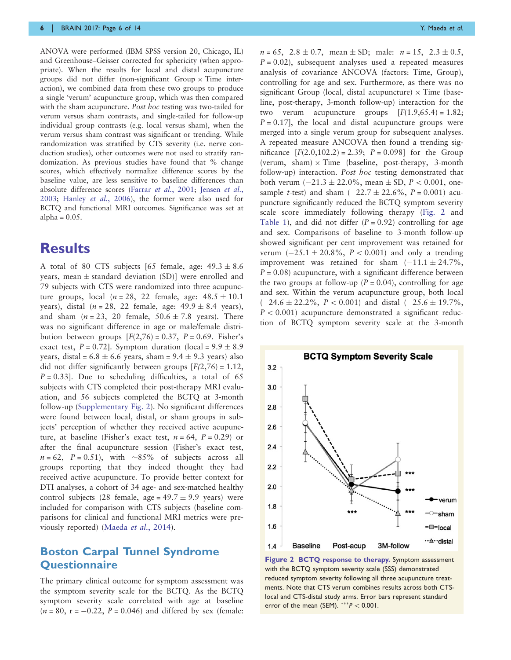ANOVA were performed (IBM SPSS version 20, Chicago, IL) and Greenhouse–Geisser corrected for sphericity (when appropriate). When the results for local and distal acupuncture groups did not differ (non-significant Group  $\times$  Time interaction), we combined data from these two groups to produce a single 'verum' acupuncture group, which was then compared with the sham acupuncture. Post hoc testing was two-tailed for verum versus sham contrasts, and single-tailed for follow-up individual group contrasts (e.g. local versus sham), when the verum versus sham contrast was significant or trending. While randomization was stratified by CTS severity (i.e. nerve conduction studies), other outcomes were not used to stratify randomization. As previous studies have found that % change scores, which effectively normalize difference scores by the baseline value, are less sensitive to baseline differences than absolute difference scores (Farrar et al.[, 2001](#page-12-0); [Jensen](#page-12-0) et al., [2003;](#page-12-0) [Hanley](#page-12-0) et al., 2006), the former were also used for BCTQ and functional MRI outcomes. Significance was set at alpha =  $0.05$ .

# **Results**

A total of 80 CTS subjects [65 female, age:  $49.3 \pm 8.6$ ] years, mean  $\pm$  standard deviation (SD)] were enrolled and 79 subjects with CTS were randomized into three acupuncture groups, local ( $n = 28$ , 22 female, age:  $48.5 \pm 10.1$ years), distal ( $n = 28$ , 22 female, age:  $49.9 \pm 8.4$  years), and sham  $(n = 23, 20$  female,  $50.6 \pm 7.8$  years). There was no significant difference in age or male/female distribution between groups  $[F(2,76) = 0.37, P = 0.69$ . Fisher's exact test,  $P = 0.72$ ]. Symptom duration (local =  $9.9 \pm 8.9$ ) years, distal =  $6.8 \pm 6.6$  years, sham =  $9.4 \pm 9.3$  years) also did not differ significantly between groups  $[F(2,76) = 1.12]$ ,  $P = 0.33$ ]. Due to scheduling difficulties, a total of 65 subjects with CTS completed their post-therapy MRI evaluation, and 56 subjects completed the BCTQ at 3-month follow-up ([Supplementary Fig. 2](http://brain.oxfordjournals.org/lookup/suppl/doi:10.1093/brain/awx015/-/DC1)). No significant differences were found between local, distal, or sham groups in subjects' perception of whether they received active acupuncture, at baseline (Fisher's exact test,  $n = 64$ ,  $P = 0.29$ ) or after the final acupuncture session (Fisher's exact test,  $n = 62$ ,  $P = 0.51$ , with ~85% of subjects across all groups reporting that they indeed thought they had received active acupuncture. To provide better context for DTI analyses, a cohort of 34 age- and sex-matched healthy control subjects (28 female, age =  $49.7 \pm 9.9$  years) were included for comparison with CTS subjects (baseline comparisons for clinical and functional MRI metrics were previously reported) ([Maeda](#page-12-0) et al., 2014).

### Boston Carpal Tunnel Syndrome **Ouestionnaire**

The primary clinical outcome for symptom assessment was the symptom severity scale for the BCTQ. As the BCTQ symptom severity scale correlated with age at baseline  $(n = 80, r = -0.22, P = 0.046)$  and differed by sex (female:  $n = 65$ ,  $2.8 \pm 0.7$ , mean  $\pm$  SD; male:  $n = 15$ ,  $2.3 \pm 0.5$ ,  $P = 0.02$ ), subsequent analyses used a repeated measures analysis of covariance ANCOVA (factors: Time, Group), controlling for age and sex. Furthermore, as there was no significant Group (local, distal acupuncture)  $\times$  Time (baseline, post-therapy, 3-month follow-up) interaction for the two verum acupuncture groups  $[F(1.9,65.4) = 1.82;$  $P = 0.17$ , the local and distal acupuncture groups were merged into a single verum group for subsequent analyses. A repeated measure ANCOVA then found a trending significance  $[F(2.0, 102.2) = 2.39; P = 0.098]$  for the Group (verum, sham)  $\times$  Time (baseline, post-therapy, 3-month follow-up) interaction. Post hoc testing demonstrated that both verum  $(-21.3 \pm 22.0\%$ , mean  $\pm$  SD,  $P < 0.001$ , onesample *t*-test) and sham  $(-22.7 \pm 22.6\%, P = 0.001)$  acupuncture significantly reduced the BCTQ symptom severity scale score immediately following therapy (Fig. 2 and [Table 1](#page-6-0)), and did not differ  $(P = 0.92)$  controlling for age and sex. Comparisons of baseline to 3-month follow-up showed significant per cent improvement was retained for verum  $(-25.1 \pm 20.8\%, P < 0.001)$  and only a trending improvement was retained for sham  $(-11.1 \pm 24.7\%)$ ,  $P = 0.08$ ) acupuncture, with a significant difference between the two groups at follow-up ( $P = 0.04$ ), controlling for age and sex. Within the verum acupuncture group, both local  $(-24.6 \pm 22.2\%, P < 0.001)$  and distal  $(-25.6 \pm 19.7\%,$  $P < 0.001$ ) acupuncture demonstrated a significant reduction of BCTQ symptom severity scale at the 3-month



Figure 2 BCTQ response to therapy. Symptom assessment with the BCTQ symptom severity scale (SSS) demonstrated reduced symptom severity following all three acupuncture treatments. Note that CTS verum combines results across both CTSlocal and CTS-distal study arms. Error bars represent standard error of the mean (SEM).  $***P < 0.001$ .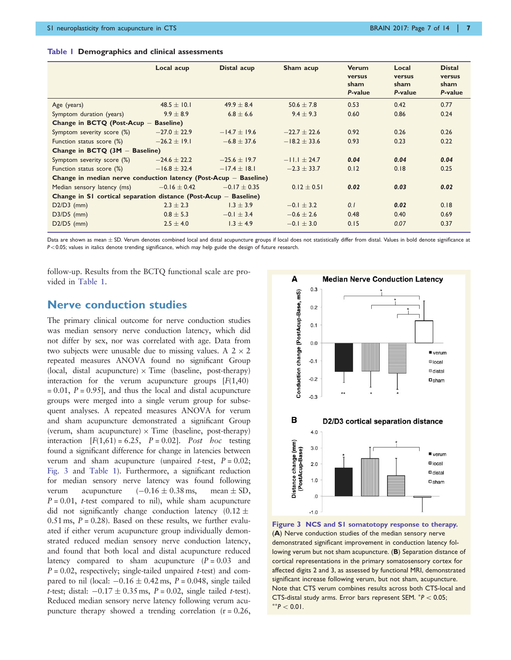<span id="page-6-0"></span>

| Table   Demographics and clinical assessments |  |
|-----------------------------------------------|--|
|-----------------------------------------------|--|

|                                                                    | Local acup       | Distal acup      | Sham acup        | <b>Verum</b><br>versus<br>sham<br>P-value | Local<br>versus<br>sham<br>P-value | <b>Distal</b><br>versus<br>sham<br>P-value |  |
|--------------------------------------------------------------------|------------------|------------------|------------------|-------------------------------------------|------------------------------------|--------------------------------------------|--|
| Age (years)                                                        | 48.5 $\pm$ 10.1  | $49.9 \pm 8.4$   | $50.6 + 7.8$     | 0.53                                      | 0.42                               | 0.77                                       |  |
| Symptom duration (years)                                           | $9.9 \pm 8.9$    | $6.8 \pm 6.6$    | $9.4 \pm 9.3$    | 0.60                                      | 0.86                               | 0.24                                       |  |
| Change in BCTQ (Post-Acup -<br><b>Baseline</b> )                   |                  |                  |                  |                                           |                                    |                                            |  |
| Symptom severity score (%)                                         | $-27.0 \pm 22.9$ | $-14.7 + 19.6$   | $-22.7 + 22.6$   | 0.92                                      | 0.26                               | 0.26                                       |  |
| Function status score (%)                                          | $-26.2 \pm 19.1$ | $-6.8 \pm 37.6$  | $-18.2 \pm 33.6$ | 0.93                                      | 0.23                               | 0.22                                       |  |
| Change in BCTQ $(3M - Baseline)$                                   |                  |                  |                  |                                           |                                    |                                            |  |
| Symptom severity score (%)                                         | $-24.6 \pm 22.2$ | $-25.6 \pm 19.7$ | $-11.1 \pm 24.7$ | 0.04                                      | 0.04                               | 0.04                                       |  |
| Function status score (%)                                          | $-16.8 \pm 32.4$ | $-17.4 \pm 18.1$ | $-2.3 \pm 33.7$  | 0.12                                      | 0.18                               | 0.25                                       |  |
| Change in median nerve conduction latency (Post-Acup - Baseline)   |                  |                  |                  |                                           |                                    |                                            |  |
| Median sensory latency (ms)                                        | $-0.16 \pm 0.42$ | $-0.17 \pm 0.35$ | $0.12 \pm 0.51$  | 0.02                                      | 0.03                               | 0.02                                       |  |
| Change in SI cortical separation distance (Post-Acup $-$ Baseline) |                  |                  |                  |                                           |                                    |                                            |  |
| $D2/D3$ (mm)                                                       | $2.3 + 2.3$      | $1.3 \pm 3.9$    | $-0.1 + 3.2$     | 0.1                                       | 0.02                               | 0.18                                       |  |
| $D3/D5$ (mm)                                                       | $0.8 \pm 5.3$    | $-0.1 \pm 3.4$   | $-0.6 \pm 2.6$   | 0.48                                      | 0.40                               | 0.69                                       |  |
| $D2/D5$ (mm)                                                       | $2.5 \pm 4.0$    | $1.3 \pm 4.9$    | $-0.1 \pm 3.0$   | 0.15                                      | 0.07                               | 0.37                                       |  |
|                                                                    |                  |                  |                  |                                           |                                    |                                            |  |

Data are shown as mean  $\pm$  SD. Verum denotes combined local and distal acupuncture groups if local does not statistically differ from distal. Values in bold denote significance at  $P<0.05$ ; values in italics denote trending significance, which may help guide the design of future research.

follow-up. Results from the BCTQ functional scale are provided in Table 1.

#### Nerve conduction studies

The primary clinical outcome for nerve conduction studies was median sensory nerve conduction latency, which did not differ by sex, nor was correlated with age. Data from two subjects were unusable due to missing values. A  $2 \times 2$ repeated measures ANOVA found no significant Group (local, distal acupuncture)  $\times$  Time (baseline, post-therapy) interaction for the verum acupuncture groups  $[F(1,40)]$  $= 0.01$ ,  $P = 0.95$ ], and thus the local and distal acupuncture groups were merged into a single verum group for subsequent analyses. A repeated measures ANOVA for verum and sham acupuncture demonstrated a significant Group (verum, sham acupuncture)  $\times$  Time (baseline, post-therapy) interaction  $[F(1,61) = 6.25, P = 0.02]$ . Post hoc testing found a significant difference for change in latencies between verum and sham acupuncture (unpaired *t*-test,  $P = 0.02$ ; Fig. 3 and Table 1). Furthermore, a significant reduction for median sensory nerve latency was found following verum acupuncture  $(-0.16 \pm 0.38 \text{ ms})$ , mean  $\pm$  SD,  $P = 0.01$ , *t*-test compared to nil), while sham acupuncture did not significantly change conduction latency  $(0.12 \pm$  $0.51$  ms,  $P = 0.28$ ). Based on these results, we further evaluated if either verum acupuncture group individually demonstrated reduced median sensory nerve conduction latency, and found that both local and distal acupuncture reduced latency compared to sham acupuncture  $(P = 0.03$  and  $P = 0.02$ , respectively; single-tailed unpaired t-test) and compared to nil (local:  $-0.16 \pm 0.42$  ms,  $P = 0.048$ , single tailed t-test; distal:  $-0.17 \pm 0.35$  ms,  $P = 0.02$ , single tailed t-test). Reduced median sensory nerve latency following verum acupuncture therapy showed a trending correlation  $(r = 0.26,$ 



Figure 3 NCS and S1 somatotopy response to therapy. (A) Nerve conduction studies of the median sensory nerve demonstrated significant improvement in conduction latency following verum but not sham acupuncture. (B) Separation distance of cortical representations in the primary somatosensory cortex for affected digits 2 and 3, as assessed by functional MRI, demonstrated significant increase following verum, but not sham, acupuncture. Note that CTS verum combines results across both CTS-local and  $CTS$ -distal study arms. Error bars represent SEM.  $^{*}P < 0.05$ ;  $*$  $P$  < 0.01.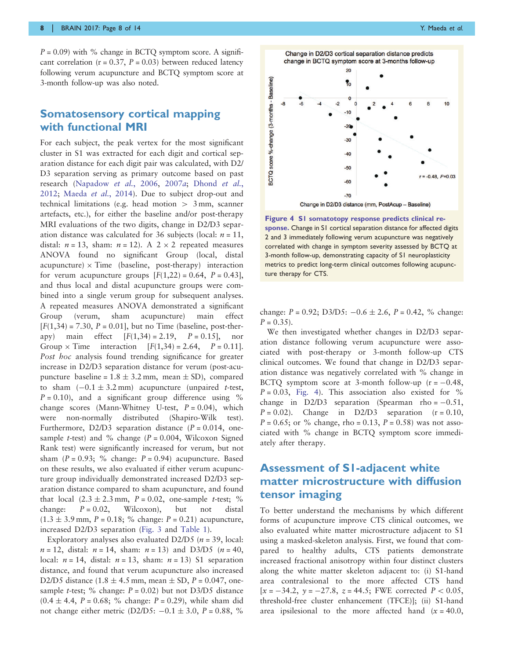$P = 0.09$ ) with % change in BCTO symptom score. A significant correlation ( $r = 0.37$ ,  $P = 0.03$ ) between reduced latency following verum acupuncture and BCTQ symptom score at 3-month follow-up was also noted.

### Somatosensory cortical mapping with functional MRI

For each subject, the peak vertex for the most significant cluster in S1 was extracted for each digit and cortical separation distance for each digit pair was calculated, with D2/ D3 separation serving as primary outcome based on past research ([Napadow](#page-13-0) et al., 2006, [2007](#page-13-0)a; [Dhond](#page-12-0) et al., [2012](#page-12-0); [Maeda](#page-12-0) et al., 2014). Due to subject drop-out and technical limitations (e.g. head motion  $> 3$  mm, scanner artefacts, etc.), for either the baseline and/or post-therapy MRI evaluations of the two digits, change in D2/D3 separation distance was calculated for 36 subjects (local:  $n = 11$ , distal:  $n = 13$ , sham:  $n = 12$ ). A  $2 \times 2$  repeated measures ANOVA found no significant Group (local, distal acupuncture)  $\times$  Time (baseline, post-therapy) interaction for verum acupuncture groups  $[F(1,22) = 0.64, P = 0.43]$ , and thus local and distal acupuncture groups were combined into a single verum group for subsequent analyses. A repeated measures ANOVA demonstrated a significant Group (verum, sham acupuncture) main effect  $[F(1,34) = 7.30, P = 0.01]$ , but no Time (baseline, post-therapy) main effect  $[F(1,34) = 2.19, P = 0.15]$ , nor Group  $\times$  Time interaction  $[F(1,34) = 2.64, P = 0.11]$ . Post hoc analysis found trending significance for greater increase in D2/D3 separation distance for verum (post-acupuncture baseline =  $1.8 \pm 3.2$  mm, mean  $\pm$  SD), compared to sham  $(-0.1 \pm 3.2 \text{ mm})$  acupuncture (unpaired t-test,  $P = 0.10$ , and a significant group difference using % change scores (Mann-Whitney U-test,  $P = 0.04$ ), which were non-normally distributed (Shapiro-Wilk test). Furthermore, D2/D3 separation distance  $(P = 0.014$ , onesample *t*-test) and % change  $(P = 0.004$ , Wilcoxon Signed Rank test) were significantly increased for verum, but not sham  $(P = 0.93; % change: P = 0.94)$  acupuncture. Based on these results, we also evaluated if either verum acupuncture group individually demonstrated increased D2/D3 separation distance compared to sham acupuncture, and found that local  $(2.3 \pm 2.3 \text{ mm}, P = 0.02,$  one-sample t-test; % change:  $P = 0.02$ , Wilcoxon), but not distal  $(1.3 \pm 3.9 \text{ mm}, P = 0.18; \%$  change:  $P = 0.21$ ) acupuncture, increased D2/D3 separation ([Fig. 3](#page-6-0) and [Table 1\)](#page-6-0).

Exploratory analyses also evaluated D2/D5 ( $n = 39$ , local:  $n = 12$ , distal:  $n = 14$ , sham:  $n = 13$ ) and D3/D5 ( $n = 40$ , local:  $n = 14$ , distal:  $n = 13$ , sham:  $n = 13$ ) S1 separation distance, and found that verum acupuncture also increased D2/D5 distance  $(1.8 \pm 4.5 \text{ mm})$ , mean  $\pm$  SD, P = 0.047, onesample *t*-test; % change:  $P = 0.02$ ) but not D3/D5 distance  $(0.4 \pm 4.4, P = 0.68; % change: P = 0.29)$ , while sham did not change either metric (D2/D5:  $-0.1 \pm 3.0$ , P = 0.88, %



Figure 4 S1 somatotopy response predicts clinical response. Change in S1 cortical separation distance for affected digits 2 and 3 immediately following verum acupuncture was negatively correlated with change in symptom severity assessed by BCTQ at 3-month follow-up, demonstrating capacity of S1 neuroplasticity metrics to predict long-term clinical outcomes following acupuncture therapy for CTS.

change:  $P = 0.92$ ; D3/D5:  $-0.6 \pm 2.6$ ,  $P = 0.42$ , % change:  $P = 0.35$ ).

We then investigated whether changes in D2/D3 separation distance following verum acupuncture were associated with post-therapy or 3-month follow-up CTS clinical outcomes. We found that change in D2/D3 separation distance was negatively correlated with % change in BCTQ symptom score at 3-month follow-up  $(r = -0.48,$  $P = 0.03$ , Fig. 4). This association also existed for % change in D2/D3 separation (Spearman rho  $= -0.51$ ,  $P = 0.02$ ). Change in D2/D3 separation (r = 0.10,  $P = 0.65$ ; or % change, rho = 0.13,  $P = 0.58$ ) was not associated with % change in BCTQ symptom score immediately after therapy.

# Assessment of S1-adjacent white matter microstructure with diffusion tensor imaging

To better understand the mechanisms by which different forms of acupuncture improve CTS clinical outcomes, we also evaluated white matter microstructure adjacent to S1 using a masked-skeleton analysis. First, we found that compared to healthy adults, CTS patients demonstrate increased fractional anisotropy within four distinct clusters along the white matter skeleton adjacent to: (i) S1-hand area contralesional to the more affected CTS hand  $[x = -34.2, y = -27.8, z = 44.5;$  FWE corrected  $P < 0.05$ , threshold-free cluster enhancement (TFCE)]; (ii) S1-hand area ipsilesional to the more affected hand  $(x = 40.0,$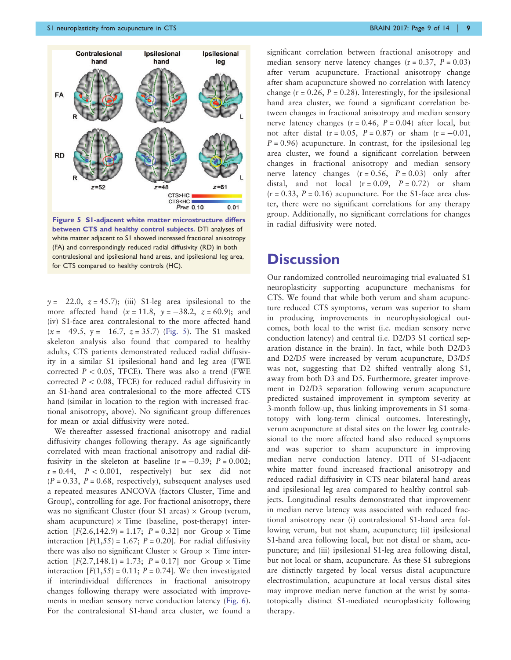

CTS>HC CTS<HC **PFWE 0.10** 

 $0.01$ 

Figure 5 S1-adjacent white matter microstructure differs between CTS and healthy control subjects. DTI analyses of white matter adjacent to S1 showed increased fractional anisotropy (FA) and correspondingly reduced radial diffusivity (RD) in both contralesional and ipsilesional hand areas, and ipsilesional leg area, for CTS compared to healthy controls (HC).

 $y = -22.0$ ,  $z = 45.7$ ; (iii) S1-leg area ipsilesional to the more affected hand  $(x = 11.8, y = -38.2, z = 60.9)$ ; and (iv) S1-face area contralesional to the more affected hand  $(x = -49.5, y = -16.7, z = 35.7)$  (Fig. 5). The S1 masked skeleton analysis also found that compared to healthy adults, CTS patients demonstrated reduced radial diffusivity in a similar S1 ipsilesional hand and leg area (FWE corrected  $P < 0.05$ , TFCE). There was also a trend (FWE corrected  $P < 0.08$ , TFCE) for reduced radial diffusivity in an S1-hand area contralesional to the more affected CTS hand (similar in location to the region with increased fractional anisotropy, above). No significant group differences for mean or axial diffusivity were noted.

We thereafter assessed fractional anisotropy and radial diffusivity changes following therapy. As age significantly correlated with mean fractional anisotropy and radial diffusivity in the skeleton at baseline  $(r = -0.39; P = 0.002;$  $r = 0.44$ ,  $P < 0.001$ , respectively) but sex did not  $(P = 0.33, P = 0.68, respectively)$ , subsequent analyses used a repeated measures ANCOVA (factors Cluster, Time and Group), controlling for age. For fractional anisotropy, there was no significant Cluster (four S1 areas)  $\times$  Group (verum, sham acupuncture)  $\times$  Time (baseline, post-therapy) interaction  $[F(2.6, 142.9) = 1.17; P = 0.32]$  nor Group  $\times$  Time interaction  $[F(1,55) = 1.67; P = 0.20]$ . For radial diffusivity there was also no significant Cluster  $\times$  Group  $\times$  Time interaction  $[F(2.7, 148.1) = 1.73; P = 0.17]$  nor Group  $\times$  Time interaction  $[F(1,55) = 0.11; P = 0.74]$ . We then investigated if interindividual differences in fractional anisotropy changes following therapy were associated with improvements in median sensory nerve conduction latency [\(Fig. 6](#page-9-0)). For the contralesional S1-hand area cluster, we found a

significant correlation between fractional anisotropy and median sensory nerve latency changes  $(r = 0.37, P = 0.03)$ after verum acupuncture. Fractional anisotropy change after sham acupuncture showed no correlation with latency change ( $r = 0.26$ ,  $P = 0.28$ ). Interestingly, for the ipsilesional hand area cluster, we found a significant correlation between changes in fractional anisotropy and median sensory nerve latency changes  $(r = 0.46, P = 0.04)$  after local, but not after distal  $(r = 0.05, P = 0.87)$  or sham  $(r = -0.01,$  $P = 0.96$ ) acupuncture. In contrast, for the ipsilesional leg area cluster, we found a significant correlation between changes in fractional anisotropy and median sensory nerve latency changes  $(r = 0.56, P = 0.03)$  only after distal, and not local  $(r = 0.09, P = 0.72)$  or sham  $(r = 0.33, P = 0.16)$  acupuncture. For the S1-face area cluster, there were no significant correlations for any therapy group. Additionally, no significant correlations for changes in radial diffusivity were noted.

# **Discussion**

Our randomized controlled neuroimaging trial evaluated S1 neuroplasticity supporting acupuncture mechanisms for CTS. We found that while both verum and sham acupuncture reduced CTS symptoms, verum was superior to sham in producing improvements in neurophysiological outcomes, both local to the wrist (i.e. median sensory nerve conduction latency) and central (i.e. D2/D3 S1 cortical separation distance in the brain). In fact, while both D2/D3 and D2/D5 were increased by verum acupuncture, D3/D5 was not, suggesting that D2 shifted ventrally along S1, away from both D3 and D5. Furthermore, greater improvement in D2/D3 separation following verum acupuncture predicted sustained improvement in symptom severity at 3-month follow-up, thus linking improvements in S1 somatotopy with long-term clinical outcomes. Interestingly, verum acupuncture at distal sites on the lower leg contralesional to the more affected hand also reduced symptoms and was superior to sham acupuncture in improving median nerve conduction latency. DTI of S1-adjacent white matter found increased fractional anisotropy and reduced radial diffusivity in CTS near bilateral hand areas and ipsilesional leg area compared to healthy control subjects. Longitudinal results demonstrated that improvement in median nerve latency was associated with reduced fractional anisotropy near (i) contralesional S1-hand area following verum, but not sham, acupuncture; (ii) ipsilesional S1-hand area following local, but not distal or sham, acupuncture; and (iii) ipsilesional S1-leg area following distal, but not local or sham, acupuncture. As these S1 subregions are distinctly targeted by local versus distal acupuncture electrostimulation, acupuncture at local versus distal sites may improve median nerve function at the wrist by somatotopically distinct S1-mediated neuroplasticity following therapy.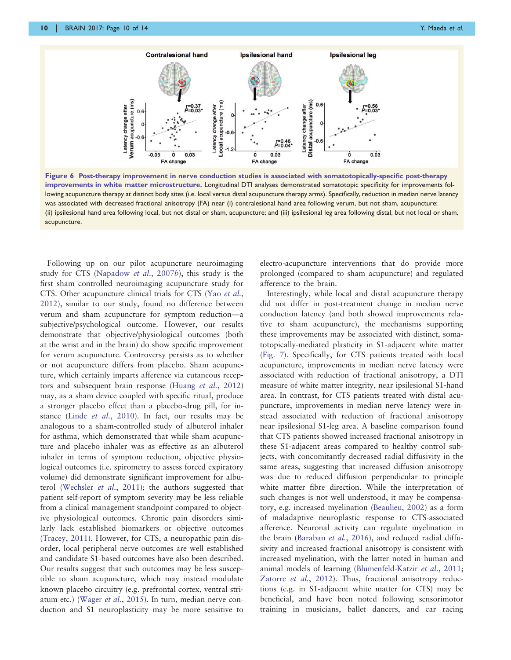<span id="page-9-0"></span>

Figure 6 Post-therapy improvement in nerve conduction studies is associated with somatotopically-specific post-therapy improvements in white matter microstructure. Longitudinal DTI analyses demonstrated somatotopic specificity for improvements following acupuncture therapy at distinct body sites (i.e. local versus distal acupuncture therapy arms). Specifically, reduction in median nerve latency was associated with decreased fractional anisotropy (FA) near (i) contralesional hand area following verum, but not sham, acupuncture; (ii) ipsilesional hand area following local, but not distal or sham, acupuncture; and (iii) ipsilesional leg area following distal, but not local or sham, acupuncture.

Following up on our pilot acupuncture neuroimaging study for CTS ([Napadow](#page-13-0) et al., 2007b), this study is the first sham controlled neuroimaging acupuncture study for CTS. Other acupuncture clinical trials for CTS (Yao [et al.](#page-13-0), [2012](#page-13-0)), similar to our study, found no difference between verum and sham acupuncture for symptom reduction—a subjective/psychological outcome. However, our results demonstrate that objective/physiological outcomes (both at the wrist and in the brain) do show specific improvement for verum acupuncture. Controversy persists as to whether or not acupuncture differs from placebo. Sham acupuncture, which certainly imparts afference via cutaneous receptors and subsequent brain response (Huang et al.[, 2012](#page-12-0)) may, as a sham device coupled with specific ritual, produce a stronger placebo effect than a placebo-drug pill, for instance (Linde et al.[, 2010](#page-12-0)). In fact, our results may be analogous to a sham-controlled study of albuterol inhaler for asthma, which demonstrated that while sham acupuncture and placebo inhaler was as effective as an albuterol inhaler in terms of symptom reduction, objective physiological outcomes (i.e. spirometry to assess forced expiratory volume) did demonstrate significant improvement for albuterol [\(Wechsler](#page-13-0) et al., 2011); the authors suggested that patient self-report of symptom severity may be less reliable from a clinical management standpoint compared to objective physiological outcomes. Chronic pain disorders similarly lack established biomarkers or objective outcomes [\(Tracey, 2011\)](#page-13-0). However, for CTS, a neuropathic pain disorder, local peripheral nerve outcomes are well established and candidate S1-based outcomes have also been described. Our results suggest that such outcomes may be less susceptible to sham acupuncture, which may instead modulate known placebo circuitry (e.g. prefrontal cortex, ventral stri-atum etc.) (Wager et al.[, 2015\)](#page-13-0). In turn, median nerve conduction and S1 neuroplasticity may be more sensitive to

electro-acupuncture interventions that do provide more prolonged (compared to sham acupuncture) and regulated afference to the brain.

Interestingly, while local and distal acupuncture therapy did not differ in post-treatment change in median nerve conduction latency (and both showed improvements relative to sham acupuncture), the mechanisms supporting these improvements may be associated with distinct, somatotopically-mediated plasticity in S1-adjacent white matter [\(Fig. 7\)](#page-10-0). Specifically, for CTS patients treated with local acupuncture, improvements in median nerve latency were associated with reduction of fractional anisotropy, a DTI measure of white matter integrity, near ipsilesional S1-hand area. In contrast, for CTS patients treated with distal acupuncture, improvements in median nerve latency were instead associated with reduction of fractional anisotropy near ipsilesional S1-leg area. A baseline comparison found that CTS patients showed increased fractional anisotropy in these S1-adjacent areas compared to healthy control subjects, with concomitantly decreased radial diffusivity in the same areas, suggesting that increased diffusion anisotropy was due to reduced diffusion perpendicular to principle white matter fibre direction. While the interpretation of such changes is not well understood, it may be compensatory, e.g. increased myelination ([Beaulieu, 2002](#page-12-0)) as a form of maladaptive neuroplastic response to CTS-associated afference. Neuronal activity can regulate myelination in the brain ([Baraban](#page-12-0) et al., 2016), and reduced radial diffusivity and increased fractional anisotropy is consistent with increased myelination, with the latter noted in human and animal models of learning ([Blumenfeld-Katzir](#page-12-0) et al., 2011; [Zatorre](#page-13-0) et al., 2012). Thus, fractional anisotropy reductions (e.g. in S1-adjacent white matter for CTS) may be beneficial, and have been noted following sensorimotor training in musicians, ballet dancers, and car racing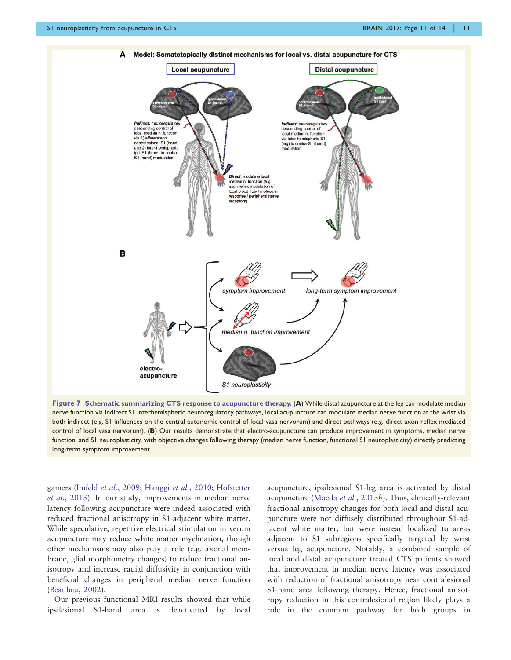<span id="page-10-0"></span>

Figure 7 Schematic summarizing CTS response to acupuncture therapy. (A) While distal acupuncture at the leg can modulate median nerve function via indirect S1 interhemispheric neuroregulatory pathways, local acupuncture can modulate median nerve function at the wrist via both indirect (e.g. S1 influences on the central autonomic control of local vasa nervorum) and direct pathways (e.g. direct axon reflex mediated control of local vasa nervorum). (B) Our results demonstrate that electro-acupuncture can produce improvement in symptoms, median nerve function, and S1 neuroplasticity, with objective changes following therapy (median nerve function, functional S1 neuroplasticity) directly predicting long-term symptom improvement.

gamers (Imfeld et al.[, 2009;](#page-12-0) [Hanggi](#page-12-0) et al., 2010; [Hofstetter](#page-12-0) et al.[, 2013\)](#page-12-0). In our study, improvements in median nerve latency following acupuncture were indeed associated with reduced fractional anisotropy in S1-adjacent white matter. While speculative, repetitive electrical stimulation in verum acupuncture may reduce white matter myelination, though other mechanisms may also play a role (e.g. axonal membrane, glial morphometry changes) to reduce fractional anisotropy and increase radial diffusivity in conjunction with beneficial changes in peripheral median nerve function ([Beaulieu, 2002](#page-12-0)).

Our previous functional MRI results showed that while ipsilesional S1-hand area is deactivated by local acupuncture, ipsilesional S1-leg area is activated by distal acupuncture [\(Maeda](#page-13-0) et al., 2013b). Thus, clinically-relevant fractional anisotropy changes for both local and distal acupuncture were not diffusely distributed throughout S1-adjacent white matter, but were instead localized to areas adjacent to S1 subregions specifically targeted by wrist versus leg acupuncture. Notably, a combined sample of local and distal acupuncture treated CTS patients showed that improvement in median nerve latency was associated with reduction of fractional anisotropy near contralesional S1-hand area following therapy. Hence, fractional anisotropy reduction in this contralesional region likely plays a role in the common pathway for both groups in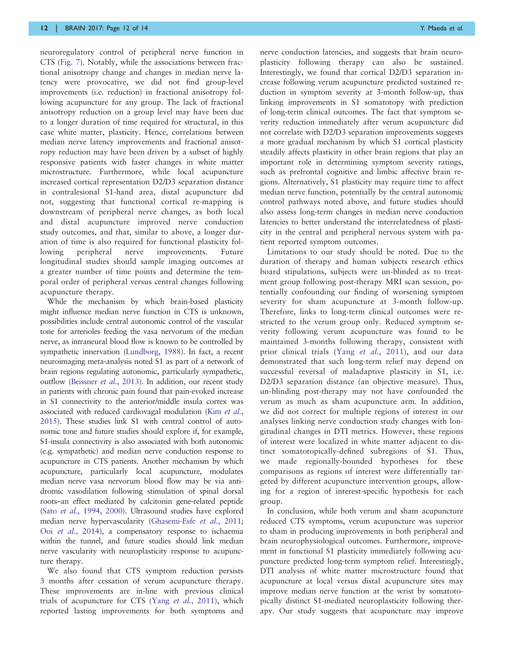neuroregulatory control of peripheral nerve function in CTS [\(Fig. 7](#page-10-0)). Notably, while the associations between fractional anisotropy change and changes in median nerve latency were provocative, we did not find group-level improvements (i.e. reduction) in fractional anisotropy following acupuncture for any group. The lack of fractional anisotropy reduction on a group level may have been due to a longer duration of time required for structural, in this case white matter, plasticity. Hence, correlations between median nerve latency improvements and fractional anisotropy reduction may have been driven by a subset of highly responsive patients with faster changes in white matter microstructure. Furthermore, while local acupuncture increased cortical representation D2/D3 separation distance in contralesional S1-hand area, distal acupuncture did not, suggesting that functional cortical re-mapping is downstream of peripheral nerve changes, as both local and distal acupuncture improved nerve conduction study outcomes, and that, similar to above, a longer duration of time is also required for functional plasticity following peripheral nerve improvements. Future longitudinal studies should sample imaging outcomes at a greater number of time points and determine the temporal order of peripheral versus central changes following acupuncture therapy.

While the mechanism by which brain-based plasticity might influence median nerve function in CTS is unknown, possibilities include central autonomic control of the vascular tone for arterioles feeding the vasa nervorum of the median nerve, as intraneural blood flow is known to be controlled by sympathetic innervation [\(Lundborg, 1988\)](#page-12-0). In fact, a recent neuroimaging meta-analysis noted S1 as part of a network of brain regions regulating autonomic, particularly sympathetic, outflow [\(Beissner](#page-12-0) et al., 2013). In addition, our recent study in patients with chronic pain found that pain-evoked increase in S1 connectivity to the anterior/middle insula cortex was associated with reduced cardiovagal modulation (Kim [et al.](#page-12-0), [2015](#page-12-0)). These studies link S1 with central control of autonomic tone and future studies should explore if, for example, S1-insula connectivity is also associated with both autonomic (e.g. sympathetic) and median nerve conduction response to acupuncture in CTS patients. Another mechanism by which acupuncture, particularly local acupuncture, modulates median nerve vasa nervorum blood flow may be via antidromic vasodilation following stimulation of spinal dorsal roots–an effect mediated by calcitonin gene-related peptide (Sato et al.[, 1994](#page-13-0), [2000\)](#page-13-0). Ultrasound studies have explored median nerve hypervascularity [\(Ghasemi-Esfe](#page-12-0) et al., 2011; Ooi et al.[, 2014](#page-13-0)), a compensatory response to ischaemia within the tunnel, and future studies should link median nerve vascularity with neuroplasticity response to acupuncture therapy.

We also found that CTS symptom reduction persists 3 months after cessation of verum acupuncture therapy. These improvements are in-line with previous clinical trials of acupuncture for CTS (Yang et al.[, 2011\)](#page-13-0), which reported lasting improvements for both symptoms and

nerve conduction latencies, and suggests that brain neuroplasticity following therapy can also be sustained. Interestingly, we found that cortical D2/D3 separation increase following verum acupuncture predicted sustained reduction in symptom severity at 3-month follow-up, thus linking improvements in S1 somatotopy with prediction of long-term clinical outcomes. The fact that symptom severity reduction immediately after verum acupuncture did not correlate with D2/D3 separation improvements suggests a more gradual mechanism by which S1 cortical plasticity steadily affects plasticity in other brain regions that play an important role in determining symptom severity ratings, such as prefrontal cognitive and limbic affective brain regions. Alternatively, S1 plasticity may require time to affect median nerve function, potentially by the central autonomic control pathways noted above, and future studies should also assess long-term changes in median nerve conduction latencies to better understand the interrelatedness of plasticity in the central and peripheral nervous system with patient reported symptom outcomes.

Limitations to our study should be noted. Due to the duration of therapy and human subjects research ethics board stipulations, subjects were un-blinded as to treatment group following post-therapy MRI scan session, potentially confounding our finding of worsening symptom severity for sham acupuncture at 3-month follow-up. Therefore, links to long-term clinical outcomes were restricted to the verum group only. Reduced symptom severity following verum acupuncture was found to be maintained 3-months following therapy, consistent with prior clinical trials (Yang *et al.*[, 2011\)](#page-13-0), and our data demonstrated that such long-term relief may depend on successful reversal of maladaptive plasticity in S1, i.e. D2/D3 separation distance (an objective measure). Thus, un-blinding post-therapy may not have confounded the verum as much as sham acupuncture arm. In addition, we did not correct for multiple regions of interest in our analyses linking nerve conduction study changes with longitudinal changes in DTI metrics. However, these regions of interest were localized in white matter adjacent to distinct somatotopically-defined subregions of S1. Thus, we made regionally-bounded hypotheses for these comparisons as regions of interest were differentially targeted by different acupuncture intervention groups, allowing for a region of interest-specific hypothesis for each group.

In conclusion, while both verum and sham acupuncture reduced CTS symptoms, verum acupuncture was superior to sham in producing improvements in both peripheral and brain neurophysiological outcomes. Furthermore, improvement in functional S1 plasticity immediately following acupuncture predicted long-term symptom relief. Interestingly, DTI analysis of white matter microstructure found that acupuncture at local versus distal acupuncture sites may improve median nerve function at the wrist by somatotopically distinct S1-mediated neuroplasticity following therapy. Our study suggests that acupuncture may improve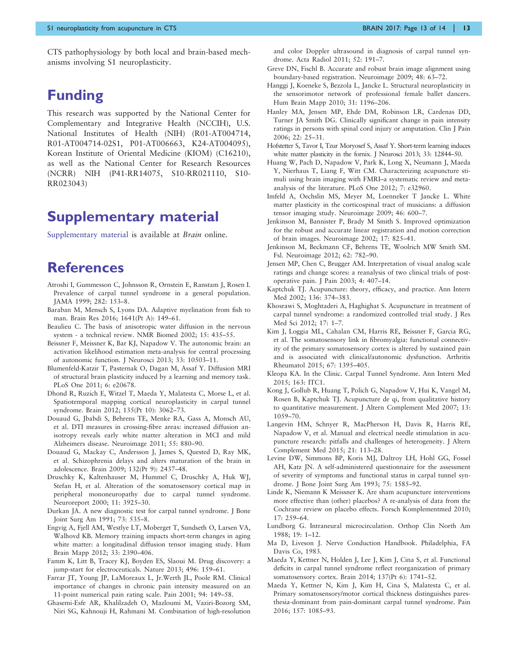<span id="page-12-0"></span>CTS pathophysiology by both local and brain-based mechanisms involving S1 neuroplasticity.

# Funding

This research was supported by the National Center for Complementary and Integrative Health (NCCIH), U.S. National Institutes of Health (NIH) (R01-AT004714, R01-AT004714-02S1, P01-AT006663, K24-AT004095), Korean Institute of Oriental Medicine (KIOM) (C16210), as well as the National Center for Research Resources (NCRR) NIH (P41-RR14075, S10-RR021110, S10- RR023043)

# Supplementary material

[Supplementary material](http://brain.oxfordjournals.org/lookup/suppl/doi:10.1093/brain/awx015/-/DC1) is available at *Brain* online.

# **References**

- Atroshi I, Gummesson C, Johnsson R, Ornstein E, Ranstam J, Rosen I. Prevalence of carpal tunnel syndrome in a general population. JAMA 1999; 282: 153–8.
- Baraban M, Mensch S, Lyons DA. Adaptive myelination from fish to man. Brain Res 2016; 1641(Pt A): 149–61.
- Beaulieu C. The basis of anisotropic water diffusion in the nervous system - a technical review. NMR Biomed 2002; 15: 435–55.
- Beissner F, Meissner K, Bar KJ, Napadow V. The autonomic brain: an activation likelihood estimation meta-analysis for central processing of autonomic function. J Neurosci 2013; 33: 10503–11.
- Blumenfeld-Katzir T, Pasternak O, Dagan M, Assaf Y. Diffusion MRI of structural brain plasticity induced by a learning and memory task. PLoS One 2011; 6: e20678.
- Dhond R, Ruzich E, Witzel T, Maeda Y, Malatesta C, Morse L, et al. Spatiotemporal mapping cortical neuroplasticity in carpal tunnel syndrome. Brain 2012; 135(Pt 10): 3062–73.
- Douaud G, Jbabdi S, Behrens TE, Menke RA, Gass A, Monsch AU, et al. DTI measures in crossing-fibre areas: increased diffusion anisotropy reveals early white matter alteration in MCI and mild Alzheimers disease. Neuroimage 2011; 55: 880–90.
- Douaud G, Mackay C, Andersson J, James S, Quested D, Ray MK, et al. Schizophrenia delays and alters maturation of the brain in adolescence. Brain 2009; 132(Pt 9): 2437–48.
- Druschky K, Kaltenhauser M, Hummel C, Druschky A, Huk WJ, Stefan H, et al. Alteration of the somatosensory cortical map in peripheral mononeuropathy due to carpal tunnel syndrome. Neuroreport 2000; 11: 3925–30.
- Durkan JA. A new diagnostic test for carpal tunnel syndrome. J Bone Joint Surg Am 1991; 73: 535–8.
- Engvig A, Fjell AM, Westlye LT, Moberget T, Sundseth O, Larsen VA, Walhovd KB. Memory training impacts short-term changes in aging white matter: a longitudinal diffusion tensor imaging study. Hum Brain Mapp 2012; 33: 2390–406.
- Famm K, Litt B, Tracey KJ, Boyden ES, Slaoui M. Drug discovery: a jump-start for electroceuticals. Nature 2013; 496: 159–61.
- Farrar JT, Young JP, LaMoreaux L, Jr.Werth JL, Poole RM. Clinical importance of changes in chronic pain intensity measured on an 11-point numerical pain rating scale. Pain 2001; 94: 149–58.
- Ghasemi-Esfe AR, Khalilzadeh O, Mazloumi M, Vaziri-Bozorg SM, Niri SG, Kahnouji H, Rahmani M. Combination of high-resolution

and color Doppler ultrasound in diagnosis of carpal tunnel syndrome. Acta Radiol 2011; 52: 191–7.

- Greve DN, Fischl B. Accurate and robust brain image alignment using boundary-based registration. Neuroimage 2009; 48: 63–72.
- Hanggi J, Koeneke S, Bezzola L, Jancke L. Structural neuroplasticity in the sensorimotor network of professional female ballet dancers. Hum Brain Mapp 2010; 31: 1196–206.
- Hanley MA, Jensen MP, Ehde DM, Robinson LR, Cardenas DD, Turner JA Smith DG. Clinically significant change in pain intensity ratings in persons with spinal cord injury or amputation. Clin J Pain 2006; 22: 25–31.
- Hofstetter S, Tavor I, Tzur Moryosef S, Assaf Y. Short-term learning induces white matter plasticity in the fornix. J Neurosci 2013; 33: 12844–50.
- Huang W, Pach D, Napadow V, Park K, Long X, Neumann J, Maeda Y, Nierhaus T, Liang F, Witt CM. Characterizing acupuncture stimuli using brain imaging with FMRI–a systematic review and metaanalysis of the literature. PLoS One 2012; 7: e32960.
- Imfeld A, Oechslin MS, Meyer M, Loenneker T Jancke L. White matter plasticity in the corticospinal tract of musicians: a diffusion tensor imaging study. Neuroimage 2009; 46: 600–7.
- Jenkinson M, Bannister P, Brady M Smith S. Improved optimization for the robust and accurate linear registration and motion correction of brain images. Neuroimage 2002; 17: 825–41.
- Jenkinson M, Beckmann CF, Behrens TE, Woolrich MW Smith SM. Fsl. Neuroimage 2012; 62: 782–90.
- Jensen MP, Chen C, Brugger AM. Interpretation of visual analog scale ratings and change scores: a reanalysis of two clinical trials of postoperative pain. J Pain 2003; 4: 407–14.
- Kaptchuk TJ. Acupuncture: theory, efficacy, and practice. Ann Intern Med 2002; 136: 374–383.
- Khosrawi S, Moghtaderi A, Haghighat S. Acupuncture in treatment of carpal tunnel syndrome: a randomized controlled trial study. J Res Med Sci 2012; 17: 1–7.
- Kim J, Loggia ML, Cahalan CM, Harris RE, Beissner F, Garcia RG, et al. The somatosensory link in fibromyalgia: functional connectivity of the primary somatosensory cortex is altered by sustained pain and is associated with clinical/autonomic dysfunction. Arthritis Rheumatol 2015; 67: 1395–405.
- Kleopa KA. In the Clinic. Carpal Tunnel Syndrome. Ann Intern Med 2015; 163: ITC1.
- Kong J, Gollub R, Huang T, Polich G, Napadow V, Hui K, Vangel M, Rosen B, Kaptchuk TJ. Acupuncture de qi, from qualitative history to quantitative measurement. J Altern Complement Med 2007; 13: 1059–70.
- Langevin HM, Schnyer R, MacPherson H, Davis R, Harris RE, Napadow V, et al. Manual and electrical needle stimulation in acupuncture research: pitfalls and challenges of heterogeneity. J Altern Complement Med 2015; 21: 113–28.
- Levine DW, Simmons BP, Koris MJ, Daltroy LH, Hohl GG, Fossel AH, Katz JN. A self-administered questionnaire for the assessment of severity of symptoms and functional status in carpal tunnel syndrome. J Bone Joint Surg Am 1993; 75: 1585–92.
- Linde K, Niemann K Meissner K. Are sham acupuncture interventions more effective than (other) placebos? A re-analysis of data from the Cochrane review on placebo effects. Forsch Komplementmed 2010; 17: 259–64.
- Lundborg G. Intraneural microcirculation. Orthop Clin North Am 1988; 19: 1–12.
- Ma D, Liveson J. Nerve Conduction Handbook. Philadelphia, FA Davis Co, 1983.
- Maeda Y, Kettner N, Holden J, Lee J, Kim J, Cina S, et al. Functional deficits in carpal tunnel syndrome reflect reorganization of primary somatosensory cortex. Brain 2014; 137(Pt 6): 1741–52.
- Maeda Y, Kettner N, Kim J, Kim H, Cina S, Malatesta C, et al. Primary somatosensory/motor cortical thickness distinguishes paresthesia-dominant from pain-dominant carpal tunnel syndrome. Pain 2016; 157: 1085–93.